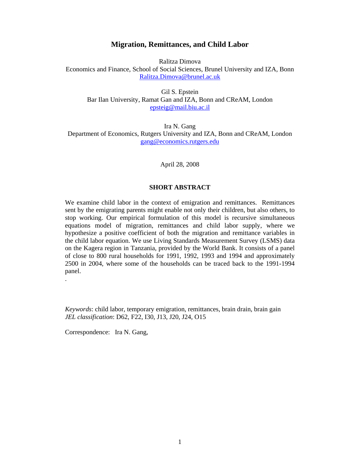### **Migration, Remittances, and Child Labor**

Ralitza Dimova Economics and Finance, School of Social Sciences, Brunel University and IZA, Bonn Ralitza.Dimova@brunel.ac.uk

Gil S. Epstein Bar Ilan University, Ramat Gan and IZA, Bonn and CReAM, London epsteig@mail.biu.ac.il

Ira N. Gang Department of Economics, Rutgers University and IZA, Bonn and CReAM, London gang@economics.rutgers.edu

April 28, 2008

### **SHORT ABSTRACT**

We examine child labor in the context of emigration and remittances. Remittances sent by the emigrating parents might enable not only their children, but also others, to stop working. Our empirical formulation of this model is recursive simultaneous equations model of migration, remittances and child labor supply, where we hypothesize a positive coefficient of both the migration and remittance variables in the child labor equation. We use Living Standards Measurement Survey (LSMS) data on the Kagera region in Tanzania, provided by the World Bank. It consists of a panel of close to 800 rural households for 1991, 1992, 1993 and 1994 and approximately 2500 in 2004, where some of the households can be traced back to the 1991-1994 panel.

*Keywords*: child labor, temporary emigration, remittances, brain drain, brain gain *JEL classification*: D62, F22, I30, J13, J20, J24, O15

Correspondence: Ira N. Gang,

.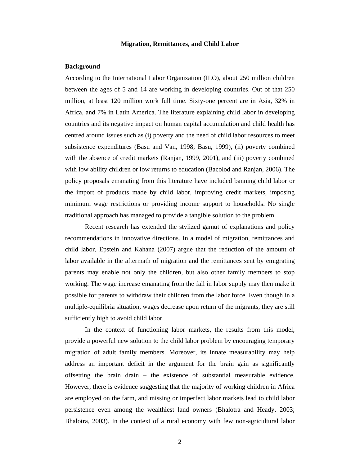#### **Migration, Remittances, and Child Labor**

#### **Background**

According to the International Labor Organization (ILO), about 250 million children between the ages of 5 and 14 are working in developing countries. Out of that 250 million, at least 120 million work full time. Sixty-one percent are in Asia, 32% in Africa, and 7% in Latin America. The literature explaining child labor in developing countries and its negative impact on human capital accumulation and child health has centred around issues such as (i) poverty and the need of child labor resources to meet subsistence expenditures (Basu and Van, 1998; Basu, 1999), (ii) poverty combined with the absence of credit markets (Ranjan, 1999, 2001), and (iii) poverty combined with low ability children or low returns to education (Bacolod and Ranjan, 2006). The policy proposals emanating from this literature have included banning child labor or the import of products made by child labor, improving credit markets, imposing minimum wage restrictions or providing income support to households. No single traditional approach has managed to provide a tangible solution to the problem.

 Recent research has extended the stylized gamut of explanations and policy recommendations in innovative directions. In a model of migration, remittances and child labor, Epstein and Kahana (2007) argue that the reduction of the amount of labor available in the aftermath of migration and the remittances sent by emigrating parents may enable not only the children, but also other family members to stop working. The wage increase emanating from the fall in labor supply may then make it possible for parents to withdraw their children from the labor force. Even though in a multiple-equilibria situation, wages decrease upon return of the migrants, they are still sufficiently high to avoid child labor.

 In the context of functioning labor markets, the results from this model, provide a powerful new solution to the child labor problem by encouraging temporary migration of adult family members. Moreover, its innate measurability may help address an important deficit in the argument for the brain gain as significantly offsetting the brain drain – the existence of substantial measurable evidence. However, there is evidence suggesting that the majority of working children in Africa are employed on the farm, and missing or imperfect labor markets lead to child labor persistence even among the wealthiest land owners (Bhalotra and Heady, 2003; Bhalotra, 2003). In the context of a rural economy with few non-agricultural labor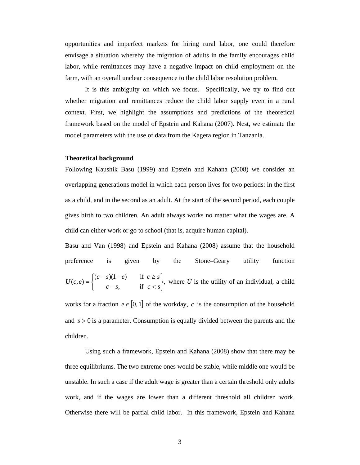opportunities and imperfect markets for hiring rural labor, one could therefore envisage a situation whereby the migration of adults in the family encourages child labor, while remittances may have a negative impact on child employment on the farm, with an overall unclear consequence to the child labor resolution problem.

 It is this ambiguity on which we focus. Specifically, we try to find out whether migration and remittances reduce the child labor supply even in a rural context. First, we highlight the assumptions and predictions of the theoretical framework based on the model of Epstein and Kahana (2007). Nest, we estimate the model parameters with the use of data from the Kagera region in Tanzania.

#### **Theoretical background**

Following Kaushik Basu (1999) and Epstein and Kahana (2008) we consider an overlapping generations model in which each person lives for two periods: in the first as a child, and in the second as an adult. At the start of the second period, each couple gives birth to two children. An adult always works no matter what the wages are. A child can either work or go to school (that is, acquire human capital).

Basu and Van (1998) and Epstein and Kahana (2008) assume that the household preference is given by the Stone–Geary utility function  $\int$ , if  $c < s$ ,  $(c - s)(1 - e)$  if  $(c, e)$ ⎭  $\left\{ \right\}$  $\mathbf{I}$  $\overline{a}$ ⎨  $\sqrt{2}$  $=\begin{cases} (c-s)(1-e) & \text{if } c \geq s \\ c-s, & \text{if } c < s \end{cases}$  $U(c, e) = \left\{ \begin{matrix} c & b \end{matrix} \right\}$ , where *U* is the utility of an individual, a child

works for a fraction  $e \in [0, 1]$  of the workday, *c* is the consumption of the household and  $s > 0$  is a parameter. Consumption is equally divided between the parents and the children.

Using such a framework, Epstein and Kahana (2008) show that there may be three equilibriums. The two extreme ones would be stable, while middle one would be unstable. In such a case if the adult wage is greater than a certain threshold only adults work, and if the wages are lower than a different threshold all children work. Otherwise there will be partial child labor. In this framework, Epstein and Kahana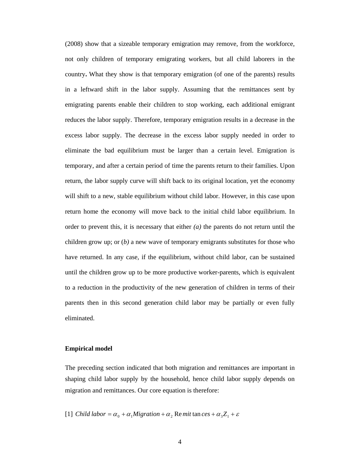(2008) show that a sizeable temporary emigration may remove, from the workforce, not only children of temporary emigrating workers, but all child laborers in the country**.** What they show is that temporary emigration (of one of the parents) results in a leftward shift in the labor supply. Assuming that the remittances sent by emigrating parents enable their children to stop working, each additional emigrant reduces the labor supply. Therefore, temporary emigration results in a decrease in the excess labor supply. The decrease in the excess labor supply needed in order to eliminate the bad equilibrium must be larger than a certain level. Emigration is temporary, and after a certain period of time the parents return to their families. Upon return, the labor supply curve will shift back to its original location, yet the economy will shift to a new, stable equilibrium without child labor. However, in this case upon return home the economy will move back to the initial child labor equilibrium. In order to prevent this, it is necessary that either *(a)* the parents do not return until the children grow up; or (*b)* a new wave of temporary emigrants substitutes for those who have returned. In any case, if the equilibrium, without child labor, can be sustained until the children grow up to be more productive worker-parents, which is equivalent to a reduction in the productivity of the new generation of children in terms of their parents then in this second generation child labor may be partially or even fully eliminated.

#### **Empirical model**

The preceding section indicated that both migration and remittances are important in shaping child labor supply by the household, hence child labor supply depends on migration and remittances. Our core equation is therefore:

[1] *Child labor* =  $\alpha_0 + \alpha_1 M$ *igration* +  $\alpha_2$  Remit tan *ces* +  $\alpha_3 Z_1 + \varepsilon$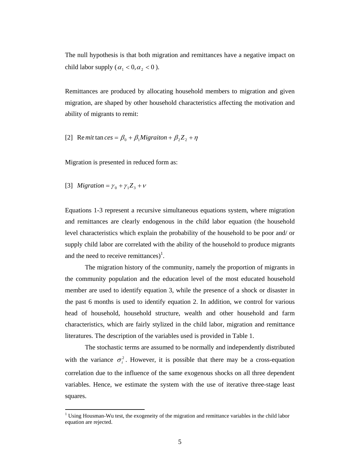The null hypothesis is that both migration and remittances have a negative impact on child labor supply ( $\alpha_1 < 0, \alpha_2 < 0$ ).

Remittances are produced by allocating household members to migration and given migration, are shaped by other household characteristics affecting the motivation and ability of migrants to remit:

[2] Re*mit* tan *ces* = 
$$
\beta_0
$$
 +  $\beta_1$ *Migration* +  $\beta_2 Z_2$  +  $\eta$ 

Migration is presented in reduced form as:

[3] *Migration* = 
$$
\gamma_0 + \gamma_1 Z_3 + v
$$

l

Equations 1-3 represent a recursive simultaneous equations system, where migration and remittances are clearly endogenous in the child labor equation (the household level characteristics which explain the probability of the household to be poor and/ or supply child labor are correlated with the ability of the household to produce migrants and the need to receive remittances)<sup>1</sup>.

The migration history of the community, namely the proportion of migrants in the community population and the education level of the most educated household member are used to identify equation 3, while the presence of a shock or disaster in the past 6 months is used to identify equation 2. In addition, we control for various head of household, household structure, wealth and other household and farm characteristics, which are fairly stylized in the child labor, migration and remittance literatures. The description of the variables used is provided in Table 1.

The stochastic terms are assumed to be normally and independently distributed with the variance  $\sigma_i^2$ . However, it is possible that there may be a cross-equation correlation due to the influence of the same exogenous shocks on all three dependent variables. Hence, we estimate the system with the use of iterative three-stage least squares.

 $1$  Using Housman-Wu test, the exogeneity of the migration and remittance variables in the child labor equation are rejected.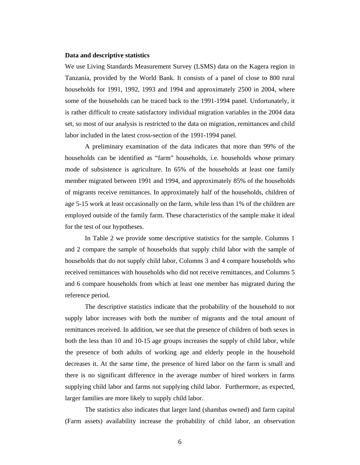#### **Data and descriptive statistics**

We use Living Standards Measurement Survey (LSMS) data on the Kagera region in Tanzania, provided by the World Bank. It consists of a panel of close to 800 rural households for 1991, 1992, 1993 and 1994 and approximately 2500 in 2004, where some of the households can be traced back to the 1991-1994 panel. Unfortunately, it is rather difficult to create satisfactory individual migration variables in the 2004 data set, so most of our analysis is restricted to the data on migration, remittances and child labor included in the latest cross-section of the 1991-1994 panel.

 A preliminary examination of the data indicates that more than 99% of the households can be identified as "farm" households, i.e. households whose primary mode of subsistence is agriculture. In 65% of the households at least one family member migrated between 1991 and 1994, and approximately 85% of the households of migrants receive remittances. In approximately half of the households, children of age 5-15 work at least occasionally on the farm, while less than 1% of the children are employed outside of the family farm. These characteristics of the sample make it ideal for the test of our hypotheses.

 In Table 2 we provide some descriptive statistics for the sample. Columns 1 and 2 compare the sample of households that supply child labor with the sample of households that do not supply child labor, Columns 3 and 4 compare households who received remittances with households who did not receive remittances, and Columns 5 and 6 compare households from which at least one member has migrated during the reference period.

The descriptive statistics indicate that the probability of the household to not supply labor increases with both the number of migrants and the total amount of remittances received. In addition, we see that the presence of children of both sexes in both the less than 10 and 10-15 age groups increases the supply of child labor, while the presence of both adults of working age and elderly people in the household decreases it. At the same time, the presence of hired labor on the farm is small and there is no significant difference in the average number of hired workers in farms supplying child labor and farms not supplying child labor. Furthermore, as expected, larger families are more likely to supply child labor.

 The statistics also indicates that larger land (shambas owned) and farm capital (Farm assets) availability increase the probability of child labor, an observation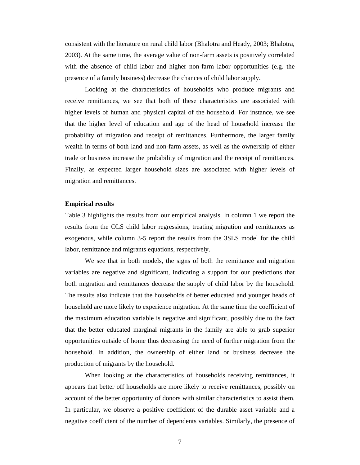consistent with the literature on rural child labor (Bhalotra and Heady, 2003; Bhalotra, 2003). At the same time, the average value of non-farm assets is positively correlated with the absence of child labor and higher non-farm labor opportunities (e.g. the presence of a family business) decrease the chances of child labor supply.

 Looking at the characteristics of households who produce migrants and receive remittances, we see that both of these characteristics are associated with higher levels of human and physical capital of the household. For instance, we see that the higher level of education and age of the head of household increase the probability of migration and receipt of remittances. Furthermore, the larger family wealth in terms of both land and non-farm assets, as well as the ownership of either trade or business increase the probability of migration and the receipt of remittances. Finally, as expected larger household sizes are associated with higher levels of migration and remittances.

#### **Empirical results**

Table 3 highlights the results from our empirical analysis. In column 1 we report the results from the OLS child labor regressions, treating migration and remittances as exogenous, while column 3-5 report the results from the 3SLS model for the child labor, remittance and migrants equations, respectively.

 We see that in both models, the signs of both the remittance and migration variables are negative and significant, indicating a support for our predictions that both migration and remittances decrease the supply of child labor by the household. The results also indicate that the households of better educated and younger heads of household are more likely to experience migration. At the same time the coefficient of the maximum education variable is negative and significant, possibly due to the fact that the better educated marginal migrants in the family are able to grab superior opportunities outside of home thus decreasing the need of further migration from the household. In addition, the ownership of either land or business decrease the production of migrants by the household.

 When looking at the characteristics of households receiving remittances, it appears that better off households are more likely to receive remittances, possibly on account of the better opportunity of donors with similar characteristics to assist them. In particular, we observe a positive coefficient of the durable asset variable and a negative coefficient of the number of dependents variables. Similarly, the presence of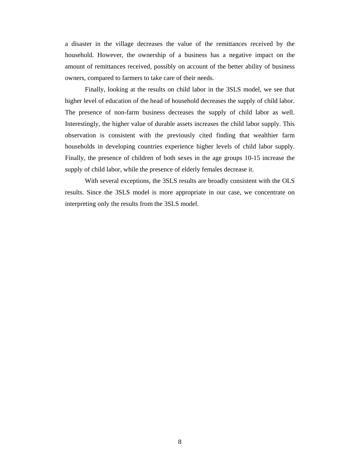a disaster in the village decreases the value of the remittances received by the household. However, the ownership of a business has a negative impact on the amount of remittances received, possibly on account of the better ability of business owners, compared to farmers to take care of their needs.

 Finally, looking at the results on child labor in the 3SLS model, we see that higher level of education of the head of household decreases the supply of child labor. The presence of non-farm business decreases the supply of child labor as well. Interestingly, the higher value of durable assets increases the child labor supply. This observation is consistent with the previously cited finding that wealthier farm households in developing countries experience higher levels of child labor supply. Finally, the presence of children of both sexes in the age groups 10-15 increase the supply of child labor, while the presence of elderly females decrease it.

 With several exceptions, the 3SLS results are broadly consistent with the OLS results. Since the 3SLS model is more appropriate in our case, we concentrate on interpreting only the results from the 3SLS model.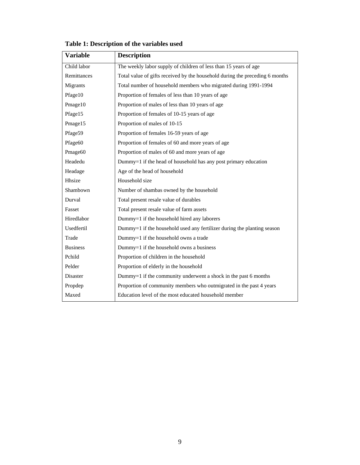| <b>Variable</b> | <b>Description</b>                                                           |
|-----------------|------------------------------------------------------------------------------|
| Child labor     | The weekly labor supply of children of less than 15 years of age             |
| Remittances     | Total value of gifts received by the household during the preceding 6 months |
| Migrants        | Total number of household members who migrated during 1991-1994              |
| Pfage10         | Proportion of females of less than 10 years of age                           |
| Pmage10         | Proportion of males of less than 10 years of age                             |
| Pfage15         | Proportion of females of 10-15 years of age                                  |
| Pmage15         | Proportion of males of 10-15                                                 |
| Pfage59         | Proportion of females 16-59 years of age                                     |
| Pfage60         | Proportion of females of 60 and more years of age                            |
| Pmage60         | Proportion of males of 60 and more years of age                              |
| Headedu         | Dummy=1 if the head of household has any post primary education              |
| Headage         | Age of the head of household                                                 |
| Hhsize          | Household size                                                               |
| Shambown        | Number of shambas owned by the household                                     |
| Durval          | Total present resale value of durables                                       |
| Fasset          | Total present resale value of farm assets                                    |
| Hiredlabor      | Dummy=1 if the household hired any laborers                                  |
| Usedfertil      | Dummy=1 if the household used any fertilizer during the planting season      |
| Trade           | Dummy=1 if the household owns a trade                                        |
| <b>Business</b> | Dummy=1 if the household owns a business                                     |
| Pchild          | Proportion of children in the household                                      |
| Pelder          | Proportion of elderly in the household                                       |
| Disaster        | Dummy=1 if the community underwent a shock in the past 6 months              |
| Propdep         | Proportion of community members who outmigrated in the past 4 years          |
| Maxed           | Education level of the most educated household member                        |

# **Table 1: Description of the variables used**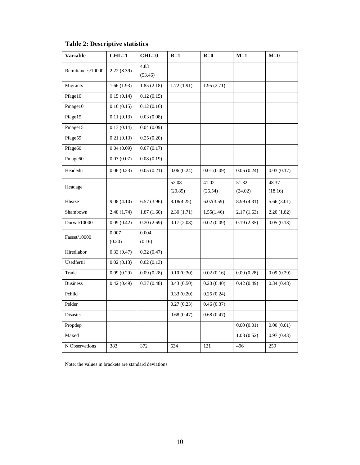| Variable            | $CHL=1$    | $CHL=0$         | $R=1$      | $R=0$      | $M=1$       | $M=0$      |
|---------------------|------------|-----------------|------------|------------|-------------|------------|
| Remittances/10000   | 2.22(8.39) | 4.83<br>(53.46) |            |            |             |            |
| Migrants            | 1.66(1.93) | 1.85(2.18)      | 1.72(1.91) | 1.95(2.71) |             |            |
| Pfage10             | 0.15(0.14) | 0.12(0.15)      |            |            |             |            |
| Pmage10             | 0.16(0.15) | 0.12(0.16)      |            |            |             |            |
| Pfage15             | 0.11(0.13) | 0.03(0.08)      |            |            |             |            |
| Pmage15             | 0.13(0.14) | 0.04(0.09)      |            |            |             |            |
| Pfage59             | 0.21(0.13) | 0.25(0.20)      |            |            |             |            |
| Pfage60             | 0.04(0.09) | 0.07(0.17)      |            |            |             |            |
| Pmage <sub>60</sub> | 0.03(0.07) | 0.08(0.19)      |            |            |             |            |
| Headedu             | 0.06(0.23) | 0.05(0.21)      | 0.06(0.24) | 0.01(0.09) | 0.06(0.24)  | 0.03(0.17) |
| Headage             |            |                 | 52.08      | 41.02      | 51.32       | 48.37      |
|                     |            |                 | (20.85)    | (26.54)    | (24.02)     | (18.16)    |
| Hhsize              | 9.08(4.10) | 6.57(3.96)      | 8.18(4.25) | 6.07(3.59) | 8.99 (4.31) | 5.66(3.01) |
| Shambown            | 2.48(1.74) | 1.87(1.60)      | 2.30(1.71) | 1.55(1.46) | 2.17(1.63)  | 2.20(1.82) |
| Durval/10000        | 0.09(0.42) | 0.20(2.69)      | 0.17(2.08) | 0.02(0.09) | 0.19(2.35)  | 0.05(0.13) |
| Fasset/10000        | 0.007      | 0.004           |            |            |             |            |
|                     | (0.20)     | (0.16)          |            |            |             |            |
| Hiredlabor          | 0.33(0.47) | 0.32(0.47)      |            |            |             |            |
| Usedfertil          | 0.02(0.13) | 0.02(0.13)      |            |            |             |            |
| Trade               | 0.09(0.29) | 0.09(0.28)      | 0.10(0.30) | 0.02(0.16) | 0.09(0.28)  | 0.09(0.29) |
| <b>Business</b>     | 0.42(0.49) | 0.37(0.48)      | 0.43(0.50) | 0.20(0.40) | 0.42(0.49)  | 0.34(0.48) |
| Pchild              |            |                 | 0.33(0.20) | 0.25(0.24) |             |            |
| Pelder              |            |                 | 0.27(0.23) | 0.46(0.37) |             |            |
| Disaster            |            |                 | 0.68(0.47) | 0.68(0.47) |             |            |
| Propdep             |            |                 |            |            | 0.00(0.01)  | 0.00(0.01) |
| Maxed               |            |                 |            |            | 1.03(0.52)  | 0.97(0.43) |
| N Observations      | 383        | 372             | 634        | 121        | 496         | 259        |

**Table 2: Descriptive statistics** 

Note: the values in brackets are standard deviations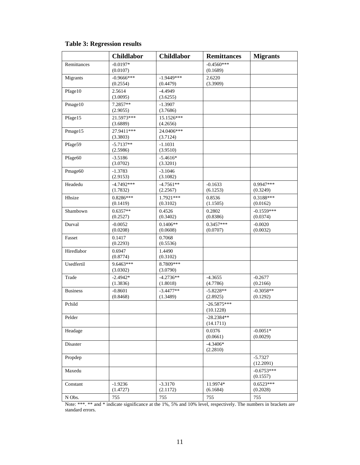# **Table 3: Regression results**

|                     | <b>Childlabor</b>        | <b>Childlabor</b>        | <b>Remittances</b>         | <b>Migrants</b>          |
|---------------------|--------------------------|--------------------------|----------------------------|--------------------------|
| Remittances         | $-0.0197*$<br>(0.0107)   |                          | $-0.4560***$<br>(0.1689)   |                          |
| Migrants            | $-0.9666***$<br>(0.2554) | $-1.9449***$<br>(0.4479) | 2.6220<br>(3.3909)         |                          |
| Pfage10             | 2.5614<br>(3.0095)       | $-4.4949$<br>(3.6255)    |                            |                          |
| Pmage10             | 7.2857**<br>(2.9055)     | $-1.3907$<br>(3.7686)    |                            |                          |
| Pfage15             | 21.5973***<br>(3.6889)   | 15.1526***<br>(4.2656)   |                            |                          |
| Pmage15             | 27.9411***<br>(3.3803)   | 24.0406***<br>(3.7124)   |                            |                          |
| Pfage59             | $-5.7137**$<br>(2.5986)  | $-1.1031$<br>(3.9510)    |                            |                          |
| Pfage60             | $-3.5186$<br>(3.0702)    | $-5.4616*$<br>(3.3201)   |                            |                          |
| Pmage <sub>60</sub> | $-1.3783$<br>(2.9153)    | $-3.1046$<br>(3.1082)    |                            |                          |
| Headedu             | $-4.7492***$<br>(1.7832) | $-4.7561**$<br>(2.2567)  | $-0.1633$<br>(6.1253)      | 0.9947***<br>(0.3249)    |
| Hhsize              | 0.8286***<br>(0.1419)    | 1.7921***<br>(0.3102)    | 0.8536<br>(1.1505)         | 0.3188***<br>(0.0162)    |
| Shambown            | $0.6357**$<br>(0.2527)   | 0.4526<br>(0.3402)       | 0.2802<br>(0.8386)         | $-0.1559***$<br>(0.0374) |
| Durval              | $-0.0052$<br>(0.0208)    | $0.1406**$<br>(0.0608)   | $0.3457***$<br>(0.0707)    | $-0.0020$<br>(0.0032)    |
| Fasset              | 0.1417<br>(0.2293)       | 0.7068<br>(0.5536)       |                            |                          |
| Hiredlabor          | 0.6947<br>(0.8774)       | 1.4490<br>(0.3102)       |                            |                          |
| Usedfertil          | 9.6463***<br>(3.0302)    | 8.7809***<br>(3.0790)    |                            |                          |
| Trade               | $-2.4942*$<br>(1.3836)   | $-4.2736**$<br>(1.8018)  | $-4.3655$<br>(4.7786)      | $-0.2677$<br>(0.2166)    |
| <b>Business</b>     | $-0.8601$<br>(0.8468)    | $-3.4477**$<br>(1.3489)  | $-5.8228**$<br>(2.8925)    | $-0.3058**$<br>(0.1292)  |
| Pchild              |                          |                          | $-26.5875***$<br>(10.1228) |                          |
| Pelder              |                          |                          | $-28.2384**$<br>(14.1711)  |                          |
| Headage             |                          |                          | 0.0376<br>(0.0661)         | $-0.0051*$<br>(0.0029)   |
| Disaster            |                          |                          | $-4.3406*$<br>(2.2810)     |                          |
| Propdep             |                          |                          |                            | $-5.7327$<br>(12.2091)   |
| Maxedu              |                          |                          |                            | $-0.6753***$<br>(0.1557) |
| Constant            | $-1.9236$<br>(1.4727)    | $-3.3170$<br>(2.1172)    | 11.9974*<br>(6.1684)       | $0.6523***$<br>(0.2028)  |
| N Obs.              | 755                      | 755                      | 755                        | 755                      |

Note: \*\*\*. \*\* and \* indicate significance at the 1%, 5% and 10% level, respectively. The numbers in brackets are standard errors.